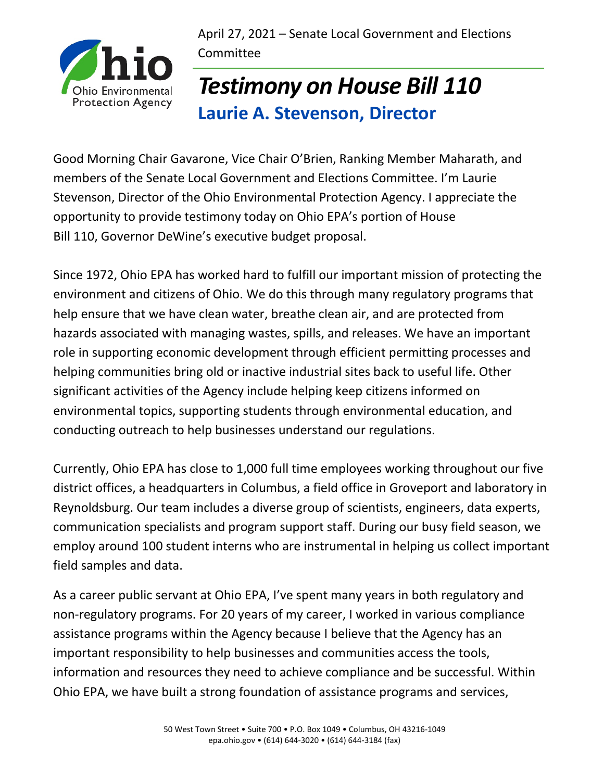April 27, 2021 – Senate Local Government and Elections Committee



## *Testimony on House Bill 110* **Laurie A. Stevenson, Director**

Good Morning Chair Gavarone, Vice Chair O'Brien, Ranking Member Maharath, and members of the Senate Local Government and Elections Committee. I'm Laurie Stevenson, Director of the Ohio Environmental Protection Agency. I appreciate the opportunity to provide testimony today on Ohio EPA's portion of House Bill 110, Governor DeWine's executive budget proposal.

Since 1972, Ohio EPA has worked hard to fulfill our important mission of protecting the environment and citizens of Ohio. We do this through many regulatory programs that help ensure that we have clean water, breathe clean air, and are protected from hazards associated with managing wastes, spills, and releases. We have an important role in supporting economic development through efficient permitting processes and helping communities bring old or inactive industrial sites back to useful life. Other significant activities of the Agency include helping keep citizens informed on environmental topics, supporting students through environmental education, and conducting outreach to help businesses understand our regulations.

Currently, Ohio EPA has close to 1,000 full time employees working throughout our five district offices, a headquarters in Columbus, a field office in Groveport and laboratory in Reynoldsburg. Our team includes a diverse group of scientists, engineers, data experts, communication specialists and program support staff. During our busy field season, we employ around 100 student interns who are instrumental in helping us collect important field samples and data.

As a career public servant at Ohio EPA, I've spent many years in both regulatory and non-regulatory programs. For 20 years of my career, I worked in various compliance assistance programs within the Agency because I believe that the Agency has an important responsibility to help businesses and communities access the tools, information and resources they need to achieve compliance and be successful. Within Ohio EPA, we have built a strong foundation of assistance programs and services,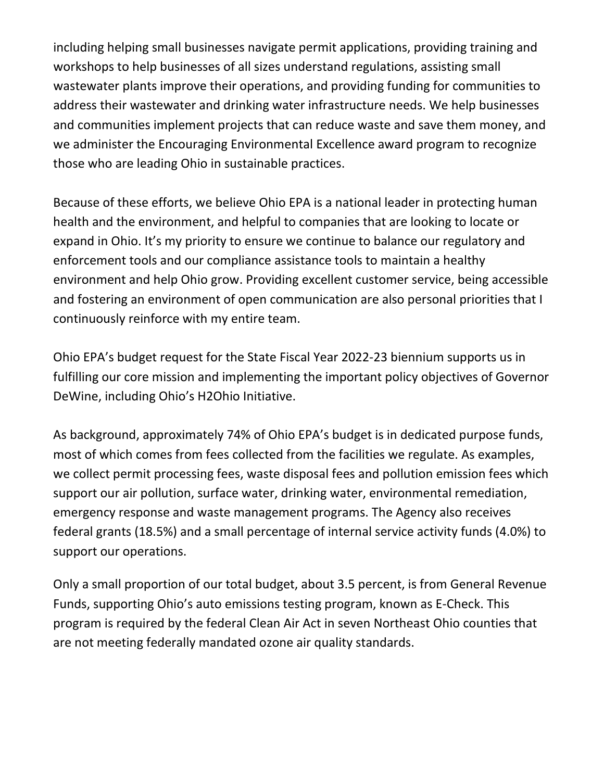including helping small businesses navigate permit applications, providing training and workshops to help businesses of all sizes understand regulations, assisting small wastewater plants improve their operations, and providing funding for communities to address their wastewater and drinking water infrastructure needs. We help businesses and communities implement projects that can reduce waste and save them money, and we administer the Encouraging Environmental Excellence award program to recognize those who are leading Ohio in sustainable practices.

Because of these efforts, we believe Ohio EPA is a national leader in protecting human health and the environment, and helpful to companies that are looking to locate or expand in Ohio. It's my priority to ensure we continue to balance our regulatory and enforcement tools and our compliance assistance tools to maintain a healthy environment and help Ohio grow. Providing excellent customer service, being accessible and fostering an environment of open communication are also personal priorities that I continuously reinforce with my entire team.

Ohio EPA's budget request for the State Fiscal Year 2022-23 biennium supports us in fulfilling our core mission and implementing the important policy objectives of Governor DeWine, including Ohio's H2Ohio Initiative.

As background, approximately 74% of Ohio EPA's budget is in dedicated purpose funds, most of which comes from fees collected from the facilities we regulate. As examples, we collect permit processing fees, waste disposal fees and pollution emission fees which support our air pollution, surface water, drinking water, environmental remediation, emergency response and waste management programs. The Agency also receives federal grants (18.5%) and a small percentage of internal service activity funds (4.0%) to support our operations.

Only a small proportion of our total budget, about 3.5 percent, is from General Revenue Funds, supporting Ohio's auto emissions testing program, known as E-Check. This program is required by the federal Clean Air Act in seven Northeast Ohio counties that are not meeting federally mandated ozone air quality standards.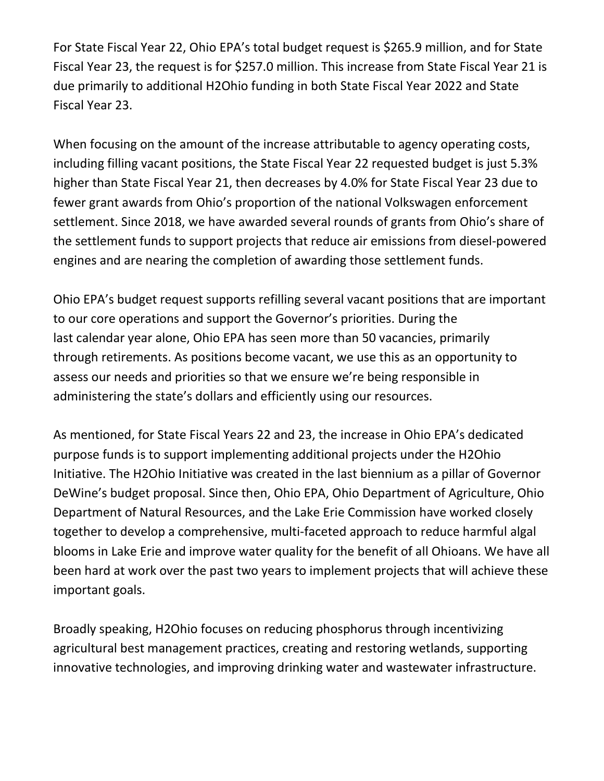For State Fiscal Year 22, Ohio EPA's total budget request is \$265.9 million, and for State Fiscal Year 23, the request is for \$257.0 million. This increase from State Fiscal Year 21 is due primarily to additional H2Ohio funding in both State Fiscal Year 2022 and State Fiscal Year 23.

When focusing on the amount of the increase attributable to agency operating costs, including filling vacant positions, the State Fiscal Year 22 requested budget is just 5.3% higher than State Fiscal Year 21, then decreases by 4.0% for State Fiscal Year 23 due to fewer grant awards from Ohio's proportion of the national Volkswagen enforcement settlement. Since 2018, we have awarded several rounds of grants from Ohio's share of the settlement funds to support projects that reduce air emissions from diesel-powered engines and are nearing the completion of awarding those settlement funds.

Ohio EPA's budget request supports refilling several vacant positions that are important to our core operations and support the Governor's priorities. During the last calendar year alone, Ohio EPA has seen more than 50 vacancies, primarily through retirements. As positions become vacant, we use this as an opportunity to assess our needs and priorities so that we ensure we're being responsible in administering the state's dollars and efficiently using our resources.

As mentioned, for State Fiscal Years 22 and 23, the increase in Ohio EPA's dedicated purpose funds is to support implementing additional projects under the H2Ohio Initiative. The H2Ohio Initiative was created in the last biennium as a pillar of Governor DeWine's budget proposal. Since then, Ohio EPA, Ohio Department of Agriculture, Ohio Department of Natural Resources, and the Lake Erie Commission have worked closely together to develop a comprehensive, multi-faceted approach to reduce harmful algal blooms in Lake Erie and improve water quality for the benefit of all Ohioans. We have all been hard at work over the past two years to implement projects that will achieve these important goals.

Broadly speaking, H2Ohio focuses on reducing phosphorus through incentivizing agricultural best management practices, creating and restoring wetlands, supporting innovative technologies, and improving drinking water and wastewater infrastructure.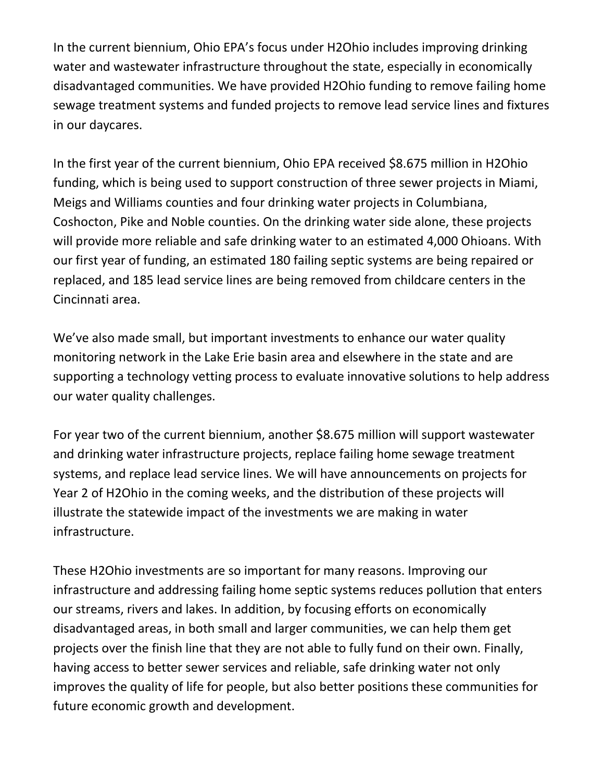In the current biennium, Ohio EPA's focus under H2Ohio includes improving drinking water and wastewater infrastructure throughout the state, especially in economically disadvantaged communities. We have provided H2Ohio funding to remove failing home sewage treatment systems and funded projects to remove lead service lines and fixtures in our daycares.

In the first year of the current biennium, Ohio EPA received \$8.675 million in H2Ohio funding, which is being used to support construction of three sewer projects in Miami, Meigs and Williams counties and four drinking water projects in Columbiana, Coshocton, Pike and Noble counties. On the drinking water side alone, these projects will provide more reliable and safe drinking water to an estimated 4,000 Ohioans. With our first year of funding, an estimated 180 failing septic systems are being repaired or replaced, and 185 lead service lines are being removed from childcare centers in the Cincinnati area.

We've also made small, but important investments to enhance our water quality monitoring network in the Lake Erie basin area and elsewhere in the state and are supporting a technology vetting process to evaluate innovative solutions to help address our water quality challenges.

For year two of the current biennium, another \$8.675 million will support wastewater and drinking water infrastructure projects, replace failing home sewage treatment systems, and replace lead service lines. We will have announcements on projects for Year 2 of H2Ohio in the coming weeks, and the distribution of these projects will illustrate the statewide impact of the investments we are making in water infrastructure.

These H2Ohio investments are so important for many reasons. Improving our infrastructure and addressing failing home septic systems reduces pollution that enters our streams, rivers and lakes. In addition, by focusing efforts on economically disadvantaged areas, in both small and larger communities, we can help them get projects over the finish line that they are not able to fully fund on their own. Finally, having access to better sewer services and reliable, safe drinking water not only improves the quality of life for people, but also better positions these communities for future economic growth and development.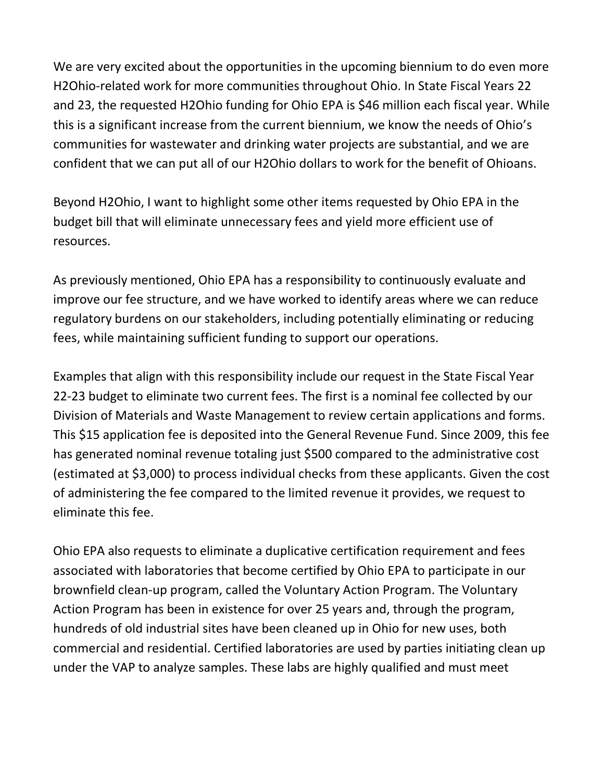We are very excited about the opportunities in the upcoming biennium to do even more H2Ohio-related work for more communities throughout Ohio. In State Fiscal Years 22 and 23, the requested H2Ohio funding for Ohio EPA is \$46 million each fiscal year. While this is a significant increase from the current biennium, we know the needs of Ohio's communities for wastewater and drinking water projects are substantial, and we are confident that we can put all of our H2Ohio dollars to work for the benefit of Ohioans.

Beyond H2Ohio, I want to highlight some other items requested by Ohio EPA in the budget bill that will eliminate unnecessary fees and yield more efficient use of resources.

As previously mentioned, Ohio EPA has a responsibility to continuously evaluate and improve our fee structure, and we have worked to identify areas where we can reduce regulatory burdens on our stakeholders, including potentially eliminating or reducing fees, while maintaining sufficient funding to support our operations.

Examples that align with this responsibility include our request in the State Fiscal Year 22-23 budget to eliminate two current fees. The first is a nominal fee collected by our Division of Materials and Waste Management to review certain applications and forms. This \$15 application fee is deposited into the General Revenue Fund. Since 2009, this fee has generated nominal revenue totaling just \$500 compared to the administrative cost (estimated at \$3,000) to process individual checks from these applicants. Given the cost of administering the fee compared to the limited revenue it provides, we request to eliminate this fee.

Ohio EPA also requests to eliminate a duplicative certification requirement and fees associated with laboratories that become certified by Ohio EPA to participate in our brownfield clean-up program, called the Voluntary Action Program. The Voluntary Action Program has been in existence for over 25 years and, through the program, hundreds of old industrial sites have been cleaned up in Ohio for new uses, both commercial and residential. Certified laboratories are used by parties initiating clean up under the VAP to analyze samples. These labs are highly qualified and must meet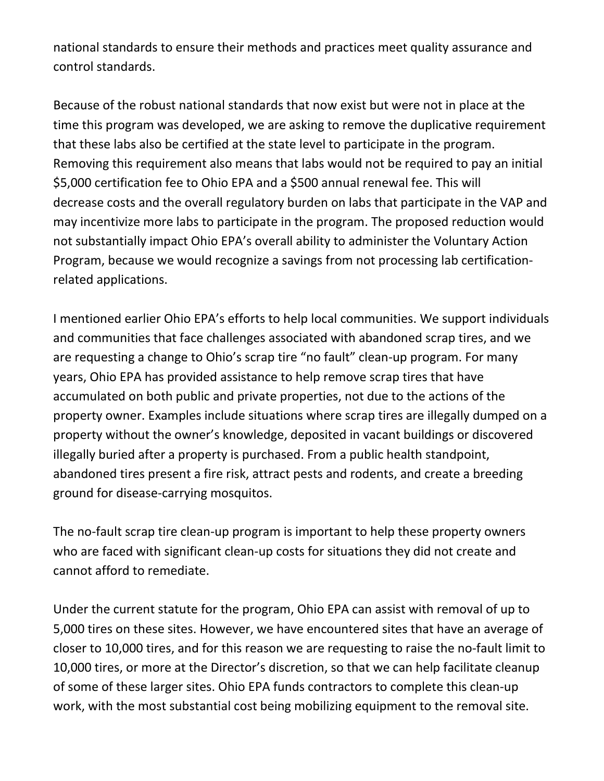national standards to ensure their methods and practices meet quality assurance and control standards.

Because of the robust national standards that now exist but were not in place at the time this program was developed, we are asking to remove the duplicative requirement that these labs also be certified at the state level to participate in the program. Removing this requirement also means that labs would not be required to pay an initial \$5,000 certification fee to Ohio EPA and a \$500 annual renewal fee. This will decrease costs and the overall regulatory burden on labs that participate in the VAP and may incentivize more labs to participate in the program. The proposed reduction would not substantially impact Ohio EPA's overall ability to administer the Voluntary Action Program, because we would recognize a savings from not processing lab certificationrelated applications.

I mentioned earlier Ohio EPA's efforts to help local communities. We support individuals and communities that face challenges associated with abandoned scrap tires, and we are requesting a change to Ohio's scrap tire "no fault" clean-up program. For many years, Ohio EPA has provided assistance to help remove scrap tires that have accumulated on both public and private properties, not due to the actions of the property owner. Examples include situations where scrap tires are illegally dumped on a property without the owner's knowledge, deposited in vacant buildings or discovered illegally buried after a property is purchased. From a public health standpoint, abandoned tires present a fire risk, attract pests and rodents, and create a breeding ground for disease-carrying mosquitos.

The no-fault scrap tire clean-up program is important to help these property owners who are faced with significant clean-up costs for situations they did not create and cannot afford to remediate.

Under the current statute for the program, Ohio EPA can assist with removal of up to 5,000 tires on these sites. However, we have encountered sites that have an average of closer to 10,000 tires, and for this reason we are requesting to raise the no-fault limit to 10,000 tires, or more at the Director's discretion, so that we can help facilitate cleanup of some of these larger sites. Ohio EPA funds contractors to complete this clean-up work, with the most substantial cost being mobilizing equipment to the removal site.